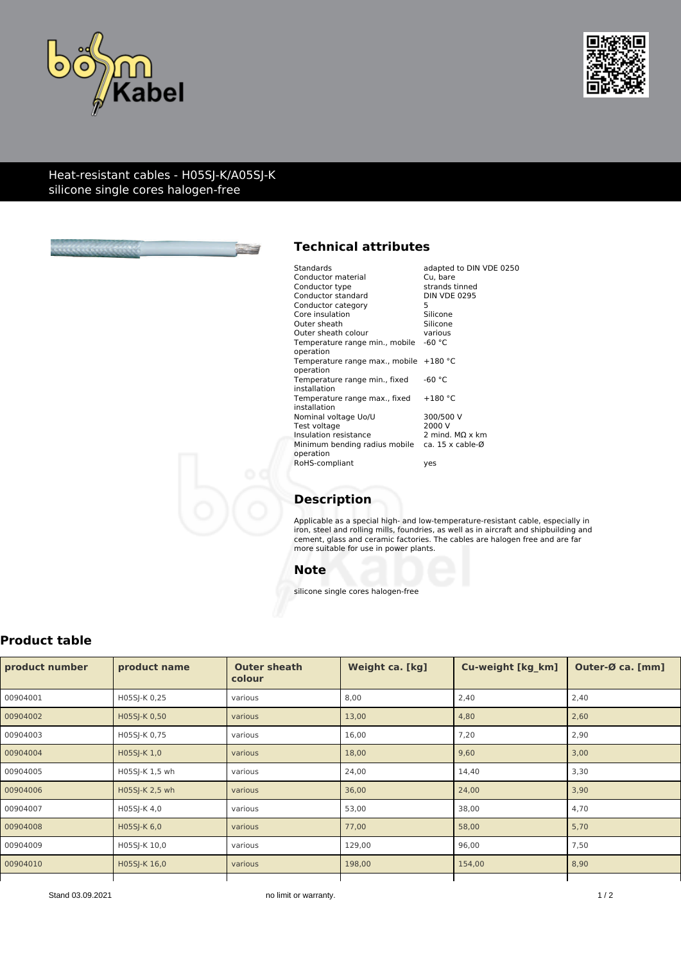



#### Heat-resistant cables - H05SJ-K/A05SJ-K silicone single cores halogen-free



# **Technical attributes**

| Standards                                                     | adapted to DIN VDE 0250 |
|---------------------------------------------------------------|-------------------------|
| Conductor material                                            | Cu. bare                |
| Conductor type                                                | strands tinned          |
| Conductor standard                                            | <b>DIN VDE 0295</b>     |
| Conductor category                                            | 5                       |
| Core insulation                                               | Silicone                |
| Outer sheath                                                  | Silicone                |
| Outer sheath colour                                           | various                 |
| Temperature range min., mobile                                | -60 °C                  |
| operation                                                     |                         |
| Temperature range max., mobile $+180$ °C                      |                         |
| operation                                                     |                         |
| Temperature range min., fixed                                 | -60 $^{\circ}$ C        |
| installation                                                  |                         |
| Temperature range max., fixed                                 | $+180 °C$               |
| installation                                                  |                         |
| Nominal voltage Uo/U                                          | 300/500 V               |
| Test voltage                                                  | 2000 V                  |
| Insulation resistance                                         | 2 mind. $MO \times km$  |
| Minimum bending radius mobile $ca. 15 \times cable-\emptyset$ |                         |
| operation                                                     |                         |
| RoHS-compliant                                                | yes                     |
|                                                               |                         |

# **Description**

Applicable as a special high- and low-temperature-resistant cable, especially in iron, steel and rolling mills, foundries, as well as in aircraft and shipbuilding and cement, glass and ceramic factories. The cables are halogen free and are far more suitable for use in power plants.

#### **Note**

silicone single cores halogen-free

### **Product table**

| product number | product name   | <b>Outer sheath</b><br>colour | Weight ca. [kg] | <b>Cu-weight [kg km]</b> | Outer-Ø ca. [mm] |
|----------------|----------------|-------------------------------|-----------------|--------------------------|------------------|
| 00904001       | H05SJ-K 0,25   | various                       | 8,00            | 2,40                     | 2,40             |
| 00904002       | H05SJ-K 0,50   | various                       | 13,00           | 4,80                     | 2,60             |
| 00904003       | H05SJ-K 0,75   | various                       | 16,00           | 7,20                     | 2,90             |
| 00904004       | H05SJ-K 1,0    | various                       | 18,00           | 9,60                     | 3,00             |
| 00904005       | H05SJ-K 1,5 wh | various                       | 24,00           | 14,40                    | 3,30             |
| 00904006       | H05SJ-K 2,5 wh | various                       | 36,00           | 24,00                    | 3,90             |
| 00904007       | H05SJ-K 4,0    | various                       | 53,00           | 38,00                    | 4,70             |
| 00904008       | H05SJ-K 6,0    | various                       | 77,00           | 58,00                    | 5,70             |
| 00904009       | H05SJ-K 10,0   | various                       | 129,00          | 96,00                    | 7,50             |
| 00904010       | H05SJ-K 16,0   | various                       | 198,00          | 154,00                   | 8,90             |
|                |                |                               |                 |                          |                  |